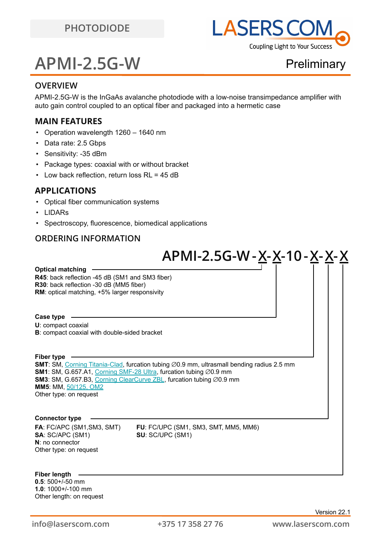

## **APMI-2.5G-W**

**Preliminary** 

### **OVERVIEW**

APMI-2.5G-W is the InGaAs avalanche photodiode with a low-noise transimpedance amplifier with auto gain control coupled to an optical fiber and packaged into a hermetic case

### **MAIN FEATURES**

- Operation wavelength 1260 1640 nm
- Data rate: 2.5 Gbps
- Sensitivity: -35 dBm
- Package types: coaxial with or without bracket
- Low back reflection, return loss RL = 45 dB

#### **APPLICATIONS**

- Optical fiber communication systems
- LIDARs
- Spectroscopy, fluorescence, biomedical applications

### **ORDERING INFORMATION**

## **Connector type SMT**: SM, [Corning Titania-Clad](https://drive.google.com/file/d/1TO0m3OXi7mFR9VPvdg1AdosSirg8iwtN/view?usp=sharing), furcation tubing ∅0.9 mm, ultrasmall bending radius 2.5 mm **SM1**: SM, G.657.A1, [Corning SMF-28 Ultra](https://drive.google.com/file/d/1JeMdVLHUIGFdzKdBnzaeOmjsa81S284f/view?usp=sharing), furcation tubing ∅0.9 mm **SM3**: SM, G.657.B3, [Corning ClearCurve ZBL](https://drive.google.com/file/d/1BnScs4F0ApGayHF4MQJvm8phLaEPHUV0/view?usp=sharing), furcation tubing ∅0.9 mm **MM5**: MM, [50/125, OM2](https://drive.google.com/file/d/1qdrFbkj0z2RSaUBupr27Z7mpeH-sMeyX/view?usp=sharing) Other type: on request **U**: compact coaxial **B**: compact coaxial with double-sided bracket **R45**: back reflection -45 dB (SM1 and SM3 fiber) **R30**: back reflection -30 dB (MM5 fiber) **RM**: optical matching, +5% larger responsivity **Optical matching APMI-2.5G-W-X-X-10-X-X-X**

**SA**: SC/APC (SM1) **SU**: SC/UPC (SM1) **N**: no connector Other type: on request

**FA**: FC/APC (SM1,SM3, SMT) **FU**: FC/UPC (SM1, SM3, SMT, MM5, MM6)

#### **Fiber length**

**Fiber type**

**Case type**

**0.5**: 500+/-50 mm **1.0**: 1000+/-100 mm Other length: on request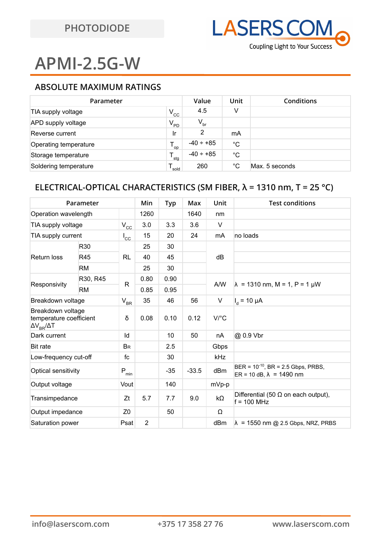# **APMI-2.5G-W**

### **ABSOLUTE MAXIMUM RATINGS**

| Parameter             | Value<br>Unit |                 | Conditions   |                |
|-----------------------|---------------|-----------------|--------------|----------------|
| TIA supply voltage    | $V_{\rm CC}$  | 4.5             | v            |                |
| APD supply voltage    | $V_{PD}$      | $V_{\text{br}}$ |              |                |
| Reverse current       | Ir            | 2               | mA           |                |
| Operating temperature | OD            | $-40 \div +85$  | °C           |                |
| Storage temperature   | 'stg          | $-40 \div +85$  | $^{\circ}C$  |                |
| Soldering temperature | sold          | 260             | $^{\circ}$ C | Max. 5 seconds |

### **ELECTRICAL-OPTICAL CHARACTERISTICS (SM FIBER, λ = 1310 nm, T = 25 °C)**

| Parameter                                                                |           | Min              | Typ  | Max   | Unit    | <b>Test conditions</b> |                                                                              |
|--------------------------------------------------------------------------|-----------|------------------|------|-------|---------|------------------------|------------------------------------------------------------------------------|
| Operation wavelength                                                     |           |                  | 1260 |       | 1640    | nm                     |                                                                              |
| TIA supply voltage                                                       |           | $V_{\rm CC}$     | 3.0  | 3.3   | 3.6     | $\vee$                 |                                                                              |
| TIA supply current                                                       |           | $I_{\rm CC}$     | 15   | 20    | 24      | mA                     | no loads                                                                     |
| Return loss                                                              | R30       | <b>RL</b>        | 25   | 30    |         | dB                     |                                                                              |
|                                                                          | R45       |                  | 40   | 45    |         |                        |                                                                              |
|                                                                          | <b>RM</b> |                  | 25   | 30    |         |                        |                                                                              |
| Responsivity                                                             | R30, R45  | R                | 0.80 | 0.90  |         | A/W                    | $\lambda$ = 1310 nm, M = 1, P = 1 µW                                         |
|                                                                          | <b>RM</b> |                  | 0.85 | 0.95  |         |                        |                                                                              |
| Breakdown voltage                                                        |           | $\rm V_{\rm BR}$ | 35   | 46    | 56      | V                      | $I_{d}$ = 10 µA                                                              |
| Breakdown voltage<br>temperature coefficient<br>$\Delta V_{BR}/\Delta T$ |           | δ                | 0.08 | 0.10  | 0.12    | $V$ /°C                |                                                                              |
| Dark current                                                             |           | Id               |      | 10    | 50      | nA                     | @ 0.9 Vbr                                                                    |
| <b>Bit rate</b>                                                          |           | <b>BR</b>        |      | 2.5   |         | Gbps                   |                                                                              |
| Low-frequency cut-off                                                    |           | fc               |      | 30    |         | <b>kHz</b>             |                                                                              |
| Optical sensitivity                                                      |           | $(P_{min})$      |      | $-35$ | $-33.5$ | dBm                    | $BER = 10^{-10}$ , $BR = 2.5$ Gbps, PRBS,<br>$ER = 10 dB, \lambda = 1490 nm$ |
| Output voltage                                                           |           | Vout             |      | 140   |         | mVp-p                  |                                                                              |
| Transimpedance                                                           |           | Zt               | 5.7  | 7.7   | 9.0     | $k\Omega$              | Differential (50 $\Omega$ on each output),<br>$f = 100$ MHz                  |
| Output impedance                                                         |           | Z <sub>0</sub>   |      | 50    |         | Ω                      |                                                                              |
| Saturation power                                                         |           | Psat             | 2    |       |         | dBm                    | $\lambda$ = 1550 nm @ 2.5 Gbps, NRZ, PRBS                                    |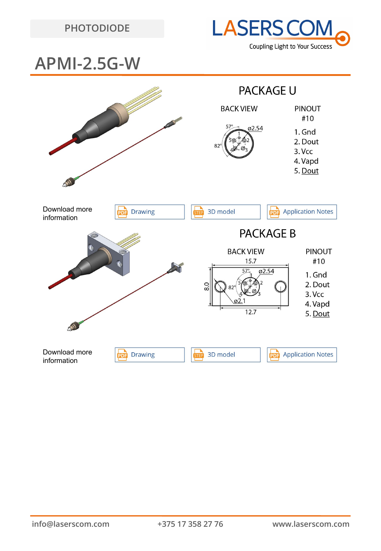



## **APMI-2.5G-W**